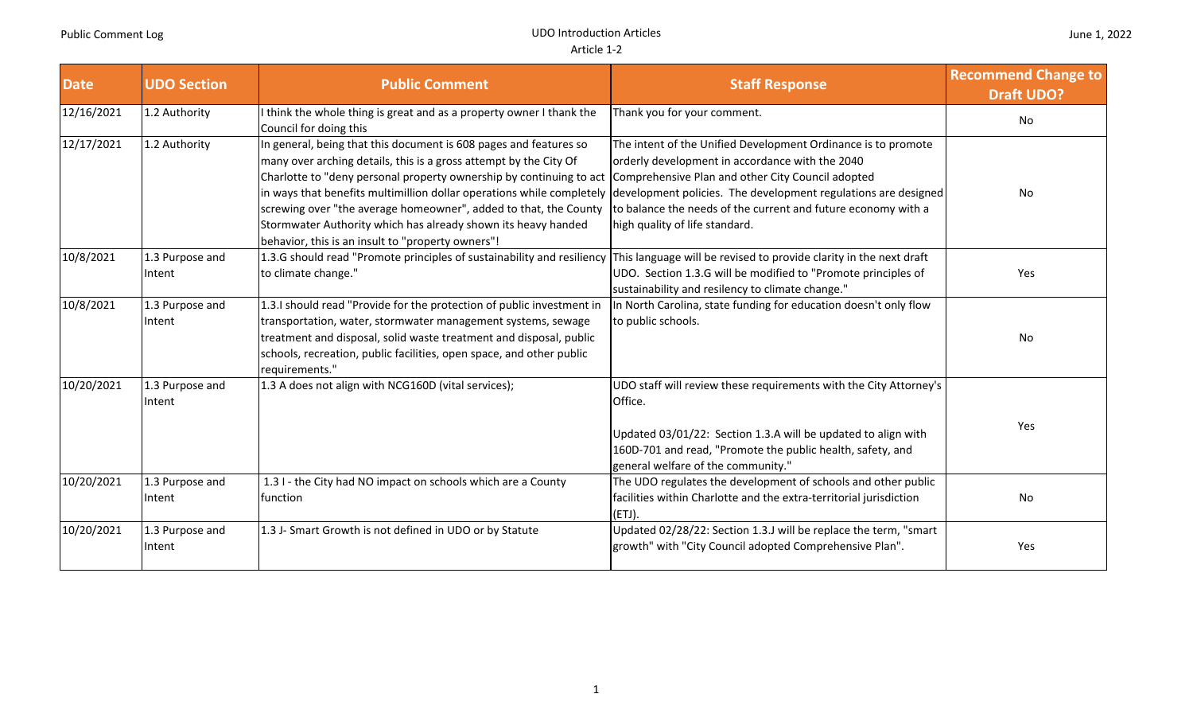| <b>Date</b> | <b>UDO Section</b>        | <b>Public Comment</b>                                                                                                                                                                                                                                                                                                                                                                                                                                                            | <b>Staff Response</b>                                                                                                                                                                                                                                                                                                                      | <b>Recommend Change to</b><br><b>Draft UDO?</b> |
|-------------|---------------------------|----------------------------------------------------------------------------------------------------------------------------------------------------------------------------------------------------------------------------------------------------------------------------------------------------------------------------------------------------------------------------------------------------------------------------------------------------------------------------------|--------------------------------------------------------------------------------------------------------------------------------------------------------------------------------------------------------------------------------------------------------------------------------------------------------------------------------------------|-------------------------------------------------|
| 12/16/2021  | 1.2 Authority             | think the whole thing is great and as a property owner I thank the<br>Council for doing this                                                                                                                                                                                                                                                                                                                                                                                     | Thank you for your comment.                                                                                                                                                                                                                                                                                                                | No                                              |
| 12/17/2021  | 1.2 Authority             | In general, being that this document is 608 pages and features so<br>many over arching details, this is a gross attempt by the City Of<br>Charlotte to "deny personal property ownership by continuing to act<br>in ways that benefits multimillion dollar operations while completely<br>screwing over "the average homeowner", added to that, the County<br>Stormwater Authority which has already shown its heavy handed<br>behavior, this is an insult to "property owners"! | The intent of the Unified Development Ordinance is to promote<br>orderly development in accordance with the 2040<br>Comprehensive Plan and other City Council adopted<br>development policies. The development regulations are designed<br>to balance the needs of the current and future economy with a<br>high quality of life standard. | No                                              |
| 10/8/2021   | 1.3 Purpose and<br>Intent | 1.3.G should read "Promote principles of sustainability and resiliency<br>to climate change."                                                                                                                                                                                                                                                                                                                                                                                    | This language will be revised to provide clarity in the next draft<br>UDO. Section 1.3.G will be modified to "Promote principles of<br>sustainability and resilency to climate change."                                                                                                                                                    | Yes                                             |
| 10/8/2021   | 1.3 Purpose and<br>Intent | 1.3.I should read "Provide for the protection of public investment in<br>transportation, water, stormwater management systems, sewage<br>treatment and disposal, solid waste treatment and disposal, public<br>schools, recreation, public facilities, open space, and other public<br>requirements."                                                                                                                                                                            | In North Carolina, state funding for education doesn't only flow<br>to public schools.                                                                                                                                                                                                                                                     | <b>No</b>                                       |
| 10/20/2021  | 1.3 Purpose and<br>Intent | 1.3 A does not align with NCG160D (vital services);                                                                                                                                                                                                                                                                                                                                                                                                                              | UDO staff will review these requirements with the City Attorney's<br>Office.<br>Updated 03/01/22: Section 1.3.A will be updated to align with<br>160D-701 and read, "Promote the public health, safety, and<br>general welfare of the community."                                                                                          | Yes                                             |
| 10/20/2021  | 1.3 Purpose and<br>Intent | 1.3 I - the City had NO impact on schools which are a County<br>function                                                                                                                                                                                                                                                                                                                                                                                                         | The UDO regulates the development of schools and other public<br>facilities within Charlotte and the extra-territorial jurisdiction<br>(ETJ).                                                                                                                                                                                              | No                                              |
| 10/20/2021  | 1.3 Purpose and<br>Intent | 1.3 J- Smart Growth is not defined in UDO or by Statute                                                                                                                                                                                                                                                                                                                                                                                                                          | Updated 02/28/22: Section 1.3.J will be replace the term, "smart<br>growth" with "City Council adopted Comprehensive Plan".                                                                                                                                                                                                                | Yes                                             |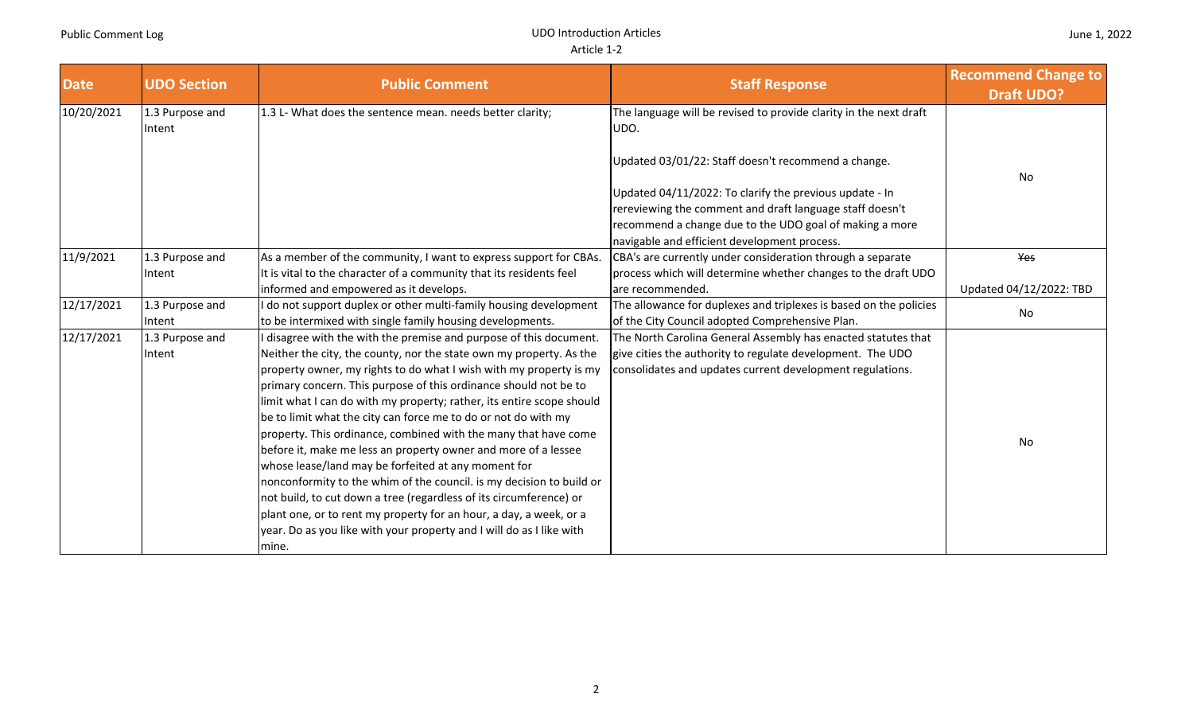**UDO Introduction Articles** 

| <b>Date</b> | <b>UDO Section</b>        | <b>Public Comment</b>                                                                                                                                                                                                                                                                                                                                                                                                                                                                                                                                                                                                                                                                                                                                                                                                                                                                                                         | <b>Staff Response</b>                                                                                                                                                                                                                                                                                              | <b>Recommend Change to</b><br><b>Draft UDO?</b> |
|-------------|---------------------------|-------------------------------------------------------------------------------------------------------------------------------------------------------------------------------------------------------------------------------------------------------------------------------------------------------------------------------------------------------------------------------------------------------------------------------------------------------------------------------------------------------------------------------------------------------------------------------------------------------------------------------------------------------------------------------------------------------------------------------------------------------------------------------------------------------------------------------------------------------------------------------------------------------------------------------|--------------------------------------------------------------------------------------------------------------------------------------------------------------------------------------------------------------------------------------------------------------------------------------------------------------------|-------------------------------------------------|
| 10/20/2021  | 1.3 Purpose and<br>Intent | 1.3 L- What does the sentence mean. needs better clarity;                                                                                                                                                                                                                                                                                                                                                                                                                                                                                                                                                                                                                                                                                                                                                                                                                                                                     | The language will be revised to provide clarity in the next draft<br>UDO.<br>Updated 03/01/22: Staff doesn't recommend a change.<br>Updated 04/11/2022: To clarify the previous update - In<br>rereviewing the comment and draft language staff doesn't<br>recommend a change due to the UDO goal of making a more | No                                              |
| 11/9/2021   | 1.3 Purpose and<br>Intent | As a member of the community, I want to express support for CBAs.<br>It is vital to the character of a community that its residents feel                                                                                                                                                                                                                                                                                                                                                                                                                                                                                                                                                                                                                                                                                                                                                                                      | navigable and efficient development process.<br>CBA's are currently under consideration through a separate<br>process which will determine whether changes to the draft UDO                                                                                                                                        | Yes                                             |
|             |                           | informed and empowered as it develops.                                                                                                                                                                                                                                                                                                                                                                                                                                                                                                                                                                                                                                                                                                                                                                                                                                                                                        | are recommended.                                                                                                                                                                                                                                                                                                   | Updated 04/12/2022: TBD                         |
| 12/17/2021  | 1.3 Purpose and<br>Intent | do not support duplex or other multi-family housing development<br>to be intermixed with single family housing developments.                                                                                                                                                                                                                                                                                                                                                                                                                                                                                                                                                                                                                                                                                                                                                                                                  | The allowance for duplexes and triplexes is based on the policies<br>of the City Council adopted Comprehensive Plan.                                                                                                                                                                                               | No                                              |
| 12/17/2021  | 1.3 Purpose and<br>Intent | disagree with the with the premise and purpose of this document.<br>Neither the city, the county, nor the state own my property. As the<br>property owner, my rights to do what I wish with my property is my<br>primary concern. This purpose of this ordinance should not be to<br>limit what I can do with my property; rather, its entire scope should<br>be to limit what the city can force me to do or not do with my<br>property. This ordinance, combined with the many that have come<br>before it, make me less an property owner and more of a lessee<br>whose lease/land may be forfeited at any moment for<br>nonconformity to the whim of the council. is my decision to build or<br>not build, to cut down a tree (regardless of its circumference) or<br>plant one, or to rent my property for an hour, a day, a week, or a<br>year. Do as you like with your property and I will do as I like with<br>mine. | The North Carolina General Assembly has enacted statutes that<br>give cities the authority to regulate development. The UDO<br>consolidates and updates current development regulations.                                                                                                                           | No                                              |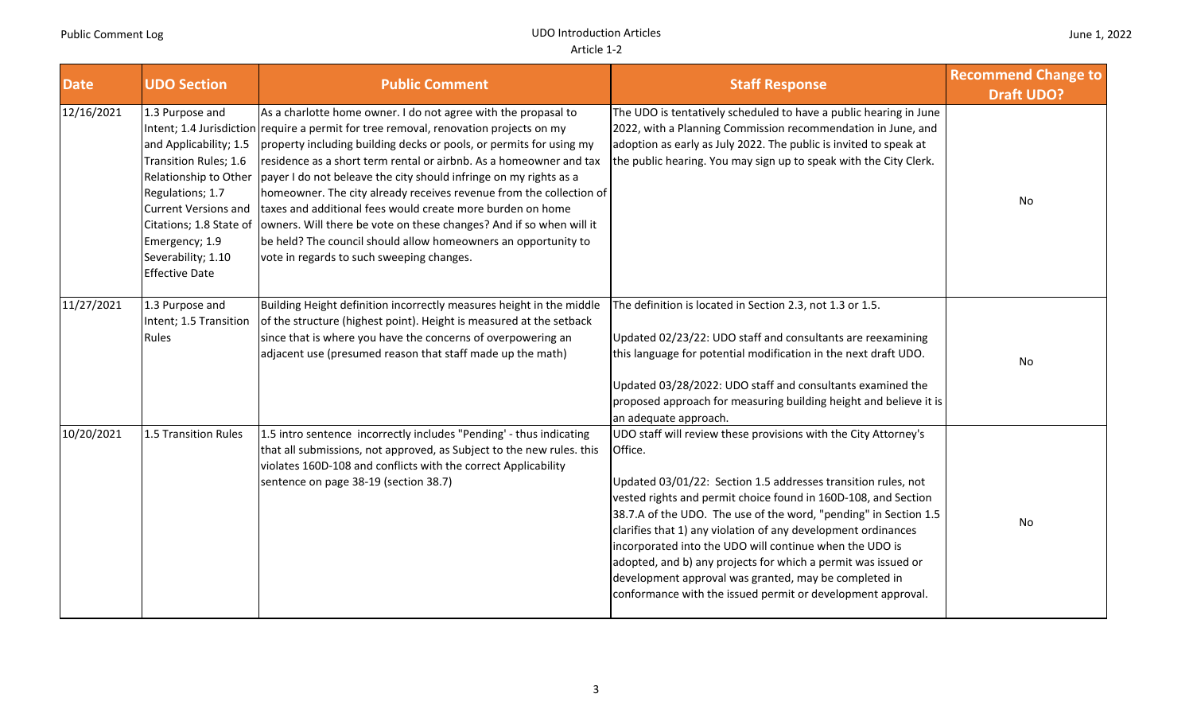| <b>Date</b> | <b>UDO Section</b>                                                                                                                                                                                                                         | <b>Public Comment</b>                                                                                                                                                                                                                                                                                                                                                                                                                                                                                                                                                                                                                                                                                | <b>Staff Response</b>                                                                                                                                                                                                                                                                                                                                                                                                                                                                                                                                                                                  | <b>Recommend Change to</b><br><b>Draft UDO?</b> |
|-------------|--------------------------------------------------------------------------------------------------------------------------------------------------------------------------------------------------------------------------------------------|------------------------------------------------------------------------------------------------------------------------------------------------------------------------------------------------------------------------------------------------------------------------------------------------------------------------------------------------------------------------------------------------------------------------------------------------------------------------------------------------------------------------------------------------------------------------------------------------------------------------------------------------------------------------------------------------------|--------------------------------------------------------------------------------------------------------------------------------------------------------------------------------------------------------------------------------------------------------------------------------------------------------------------------------------------------------------------------------------------------------------------------------------------------------------------------------------------------------------------------------------------------------------------------------------------------------|-------------------------------------------------|
| 12/16/2021  | 1.3 Purpose and<br>and Applicability; 1.5<br>Transition Rules; 1.6<br>Relationship to Other<br>Regulations; 1.7<br><b>Current Versions and</b><br>Citations; 1.8 State of<br>Emergency; 1.9<br>Severability; 1.10<br><b>Effective Date</b> | As a charlotte home owner. I do not agree with the propasal to<br>Intent; 1.4 Jurisdiction require a permit for tree removal, renovation projects on my<br>property including building decks or pools, or permits for using my<br>residence as a short term rental or airbnb. As a homeowner and tax<br>payer I do not beleave the city should infringe on my rights as a<br>homeowner. The city already receives revenue from the collection of<br>taxes and additional fees would create more burden on home<br>owners. Will there be vote on these changes? And if so when will it<br>be held? The council should allow homeowners an opportunity to<br>vote in regards to such sweeping changes. | The UDO is tentatively scheduled to have a public hearing in June<br>2022, with a Planning Commission recommendation in June, and<br>adoption as early as July 2022. The public is invited to speak at<br>the public hearing. You may sign up to speak with the City Clerk.                                                                                                                                                                                                                                                                                                                            | No                                              |
| 11/27/2021  | 1.3 Purpose and<br>Intent; 1.5 Transition<br>Rules                                                                                                                                                                                         | Building Height definition incorrectly measures height in the middle<br>of the structure (highest point). Height is measured at the setback<br>since that is where you have the concerns of overpowering an<br>adjacent use (presumed reason that staff made up the math)                                                                                                                                                                                                                                                                                                                                                                                                                            | The definition is located in Section 2.3, not 1.3 or 1.5.<br>Updated 02/23/22: UDO staff and consultants are reexamining<br>this language for potential modification in the next draft UDO.<br>Updated 03/28/2022: UDO staff and consultants examined the<br>proposed approach for measuring building height and believe it is<br>an adequate approach.                                                                                                                                                                                                                                                | No                                              |
| 10/20/2021  | 1.5 Transition Rules                                                                                                                                                                                                                       | 1.5 intro sentence incorrectly includes "Pending' - thus indicating<br>that all submissions, not approved, as Subject to the new rules. this<br>violates 160D-108 and conflicts with the correct Applicability<br>sentence on page 38-19 (section 38.7)                                                                                                                                                                                                                                                                                                                                                                                                                                              | UDO staff will review these provisions with the City Attorney's<br>Office.<br>Updated 03/01/22: Section 1.5 addresses transition rules, not<br>vested rights and permit choice found in 160D-108, and Section<br>38.7.A of the UDO. The use of the word, "pending" in Section 1.5<br>clarifies that 1) any violation of any development ordinances<br>incorporated into the UDO will continue when the UDO is<br>adopted, and b) any projects for which a permit was issued or<br>development approval was granted, may be completed in<br>conformance with the issued permit or development approval. | No                                              |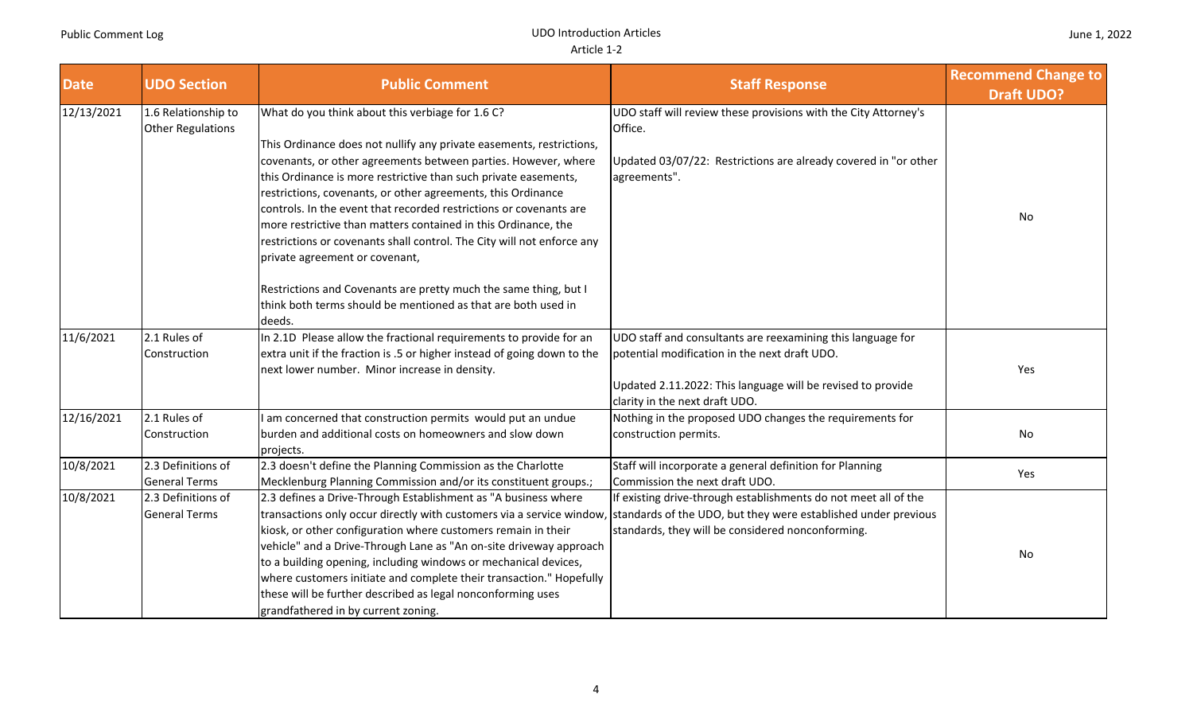| <b>Date</b>             | <b>UDO Section</b>                         | <b>Public Comment</b>                                                                                                                                                                                                                                                                                                                                                                                                                                                                                                                                                                                                                                                                                                  | <b>Staff Response</b>                                                                                                                                                                                         | <b>Recommend Change to</b><br><b>Draft UDO?</b> |
|-------------------------|--------------------------------------------|------------------------------------------------------------------------------------------------------------------------------------------------------------------------------------------------------------------------------------------------------------------------------------------------------------------------------------------------------------------------------------------------------------------------------------------------------------------------------------------------------------------------------------------------------------------------------------------------------------------------------------------------------------------------------------------------------------------------|---------------------------------------------------------------------------------------------------------------------------------------------------------------------------------------------------------------|-------------------------------------------------|
| 12/13/2021              | 1.6 Relationship to<br>Other Regulations   | What do you think about this verbiage for 1.6 C?<br>This Ordinance does not nullify any private easements, restrictions,<br>covenants, or other agreements between parties. However, where<br>this Ordinance is more restrictive than such private easements,<br>restrictions, covenants, or other agreements, this Ordinance<br>controls. In the event that recorded restrictions or covenants are<br>more restrictive than matters contained in this Ordinance, the<br>restrictions or covenants shall control. The City will not enforce any<br>private agreement or covenant,<br>Restrictions and Covenants are pretty much the same thing, but I<br>think both terms should be mentioned as that are both used in | UDO staff will review these provisions with the City Attorney's<br>Office.<br>Updated 03/07/22: Restrictions are already covered in "or other<br>agreements".                                                 | No                                              |
| 11/6/2021               | 2.1 Rules of<br>Construction               | deeds.<br>In 2.1D Please allow the fractional requirements to provide for an<br>extra unit if the fraction is .5 or higher instead of going down to the<br>next lower number. Minor increase in density.                                                                                                                                                                                                                                                                                                                                                                                                                                                                                                               | UDO staff and consultants are reexamining this language for<br>potential modification in the next draft UDO.<br>Updated 2.11.2022: This language will be revised to provide<br>clarity in the next draft UDO. | Yes                                             |
| $\overline{12}/16/2021$ | 2.1 Rules of<br>Construction               | am concerned that construction permits would put an undue<br>burden and additional costs on homeowners and slow down<br>projects.                                                                                                                                                                                                                                                                                                                                                                                                                                                                                                                                                                                      | Nothing in the proposed UDO changes the requirements for<br>construction permits.                                                                                                                             | No                                              |
| 10/8/2021               | 2.3 Definitions of<br><b>General Terms</b> | 2.3 doesn't define the Planning Commission as the Charlotte<br>Mecklenburg Planning Commission and/or its constituent groups.;                                                                                                                                                                                                                                                                                                                                                                                                                                                                                                                                                                                         | Staff will incorporate a general definition for Planning<br>Commission the next draft UDO.                                                                                                                    | Yes                                             |
| 10/8/2021               | 2.3 Definitions of<br><b>General Terms</b> | 2.3 defines a Drive-Through Establishment as "A business where<br>transactions only occur directly with customers via a service window,<br>kiosk, or other configuration where customers remain in their<br>vehicle" and a Drive-Through Lane as "An on-site driveway approach<br>to a building opening, including windows or mechanical devices,<br>where customers initiate and complete their transaction." Hopefully<br>these will be further described as legal nonconforming uses<br>grandfathered in by current zoning.                                                                                                                                                                                         | If existing drive-through establishments do not meet all of the<br>standards of the UDO, but they were established under previous<br>standards, they will be considered nonconforming.                        | No                                              |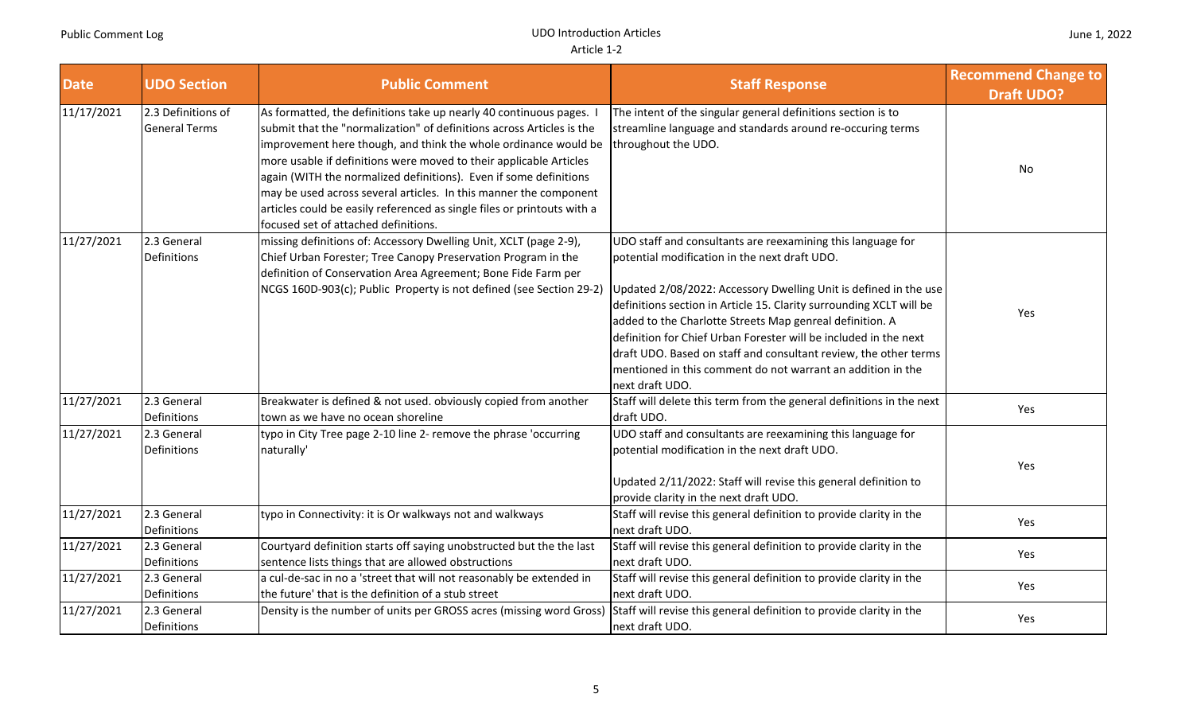| <b>Date</b> | <b>UDO Section</b>                         | <b>Public Comment</b>                                                                                                                                                                                                                                                                                                                                                                                                                                                                                                                              | <b>Staff Response</b>                                                                                                                                                                                                                                                                                                                                                                                                                                                                                                                         | <b>Recommend Change to</b><br><b>Draft UDO?</b> |
|-------------|--------------------------------------------|----------------------------------------------------------------------------------------------------------------------------------------------------------------------------------------------------------------------------------------------------------------------------------------------------------------------------------------------------------------------------------------------------------------------------------------------------------------------------------------------------------------------------------------------------|-----------------------------------------------------------------------------------------------------------------------------------------------------------------------------------------------------------------------------------------------------------------------------------------------------------------------------------------------------------------------------------------------------------------------------------------------------------------------------------------------------------------------------------------------|-------------------------------------------------|
| 11/17/2021  | 2.3 Definitions of<br><b>General Terms</b> | As formatted, the definitions take up nearly 40 continuous pages. I<br>submit that the "normalization" of definitions across Articles is the<br>improvement here though, and think the whole ordinance would be<br>more usable if definitions were moved to their applicable Articles<br>again (WITH the normalized definitions). Even if some definitions<br>may be used across several articles. In this manner the component<br>articles could be easily referenced as single files or printouts with a<br>focused set of attached definitions. | The intent of the singular general definitions section is to<br>streamline language and standards around re-occuring terms<br>throughout the UDO.                                                                                                                                                                                                                                                                                                                                                                                             | No                                              |
| 11/27/2021  | 2.3 General<br>Definitions                 | missing definitions of: Accessory Dwelling Unit, XCLT (page 2-9),<br>Chief Urban Forester; Tree Canopy Preservation Program in the<br>definition of Conservation Area Agreement; Bone Fide Farm per<br>NCGS 160D-903(c); Public Property is not defined (see Section 29-2)                                                                                                                                                                                                                                                                         | UDO staff and consultants are reexamining this language for<br>potential modification in the next draft UDO.<br>Updated 2/08/2022: Accessory Dwelling Unit is defined in the use<br>definitions section in Article 15. Clarity surrounding XCLT will be<br>added to the Charlotte Streets Map genreal definition. A<br>definition for Chief Urban Forester will be included in the next<br>draft UDO. Based on staff and consultant review, the other terms<br>mentioned in this comment do not warrant an addition in the<br>next draft UDO. | Yes                                             |
| 11/27/2021  | 2.3 General<br>Definitions                 | Breakwater is defined & not used. obviously copied from another<br>town as we have no ocean shoreline                                                                                                                                                                                                                                                                                                                                                                                                                                              | Staff will delete this term from the general definitions in the next<br>draft UDO.                                                                                                                                                                                                                                                                                                                                                                                                                                                            | Yes                                             |
| 11/27/2021  | 2.3 General<br>Definitions                 | typo in City Tree page 2-10 line 2- remove the phrase 'occurring<br>naturally'                                                                                                                                                                                                                                                                                                                                                                                                                                                                     | UDO staff and consultants are reexamining this language for<br>potential modification in the next draft UDO.<br>Updated 2/11/2022: Staff will revise this general definition to<br>provide clarity in the next draft UDO.                                                                                                                                                                                                                                                                                                                     | Yes                                             |
| 11/27/2021  | 2.3 General<br>Definitions                 | typo in Connectivity: it is Or walkways not and walkways                                                                                                                                                                                                                                                                                                                                                                                                                                                                                           | Staff will revise this general definition to provide clarity in the<br>next draft UDO.                                                                                                                                                                                                                                                                                                                                                                                                                                                        | Yes                                             |
| 11/27/2021  | 2.3 General<br>Definitions                 | Courtyard definition starts off saying unobstructed but the the last<br>sentence lists things that are allowed obstructions                                                                                                                                                                                                                                                                                                                                                                                                                        | Staff will revise this general definition to provide clarity in the<br>next draft UDO.                                                                                                                                                                                                                                                                                                                                                                                                                                                        | Yes                                             |
| 11/27/2021  | 2.3 General<br>Definitions                 | a cul-de-sac in no a 'street that will not reasonably be extended in<br>the future' that is the definition of a stub street                                                                                                                                                                                                                                                                                                                                                                                                                        | Staff will revise this general definition to provide clarity in the<br>next draft UDO.                                                                                                                                                                                                                                                                                                                                                                                                                                                        | Yes                                             |
| 11/27/2021  | 2.3 General<br>Definitions                 | Density is the number of units per GROSS acres (missing word Gross)                                                                                                                                                                                                                                                                                                                                                                                                                                                                                | Staff will revise this general definition to provide clarity in the<br>next draft UDO.                                                                                                                                                                                                                                                                                                                                                                                                                                                        | Yes                                             |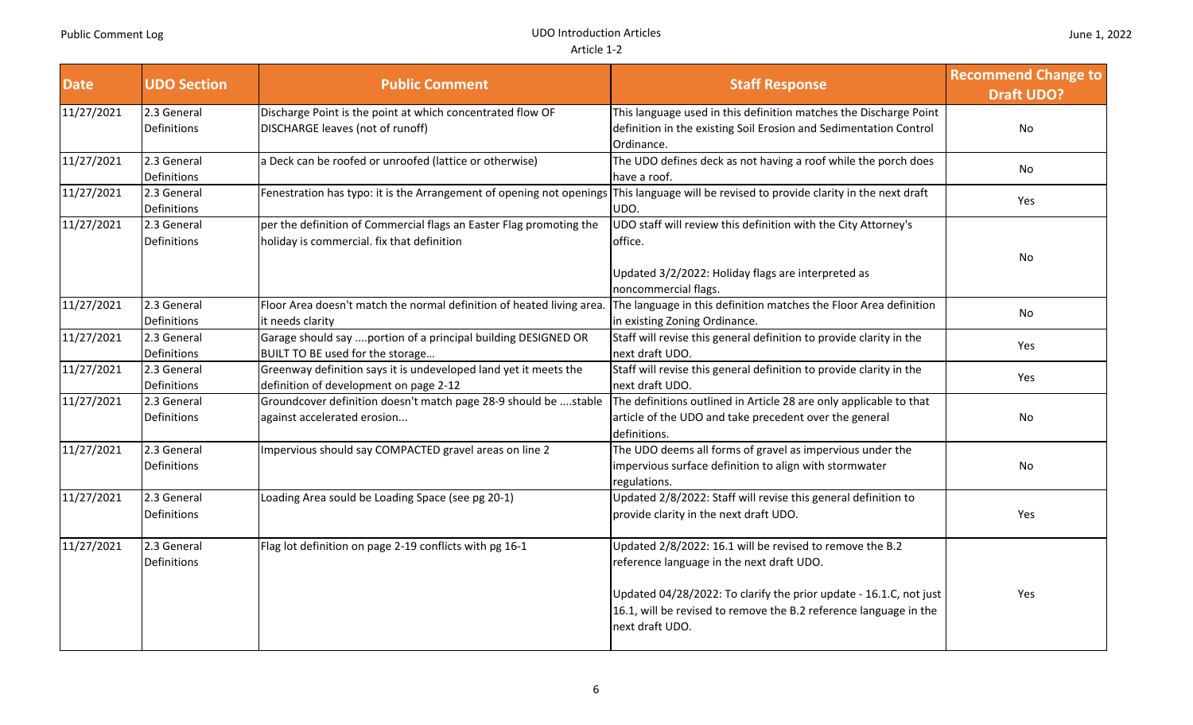| <b>Date</b> | <b>UDO Section</b>                | <b>Public Comment</b>                                                                                             | <b>Staff Response</b>                                                                                                                                                                                                                                               | <b>Recommend Change to</b><br><b>Draft UDO?</b> |
|-------------|-----------------------------------|-------------------------------------------------------------------------------------------------------------------|---------------------------------------------------------------------------------------------------------------------------------------------------------------------------------------------------------------------------------------------------------------------|-------------------------------------------------|
| 11/27/2021  | 2.3 General<br>Definitions        | Discharge Point is the point at which concentrated flow OF<br>DISCHARGE leaves (not of runoff)                    | This language used in this definition matches the Discharge Point<br>definition in the existing Soil Erosion and Sedimentation Control                                                                                                                              | No                                              |
| 11/27/2021  | 2.3 General<br>Definitions        | a Deck can be roofed or unroofed (lattice or otherwise)                                                           | Ordinance.<br>The UDO defines deck as not having a roof while the porch does<br>have a roof.                                                                                                                                                                        | No                                              |
| 11/27/2021  | 2.3 General<br>Definitions        | Fenestration has typo: it is the Arrangement of opening not openings                                              | This language will be revised to provide clarity in the next draft<br>UDO.                                                                                                                                                                                          | Yes                                             |
| 11/27/2021  | 2.3 General<br><b>Definitions</b> | per the definition of Commercial flags an Easter Flag promoting the<br>holiday is commercial. fix that definition | UDO staff will review this definition with the City Attorney's<br>office.<br>Updated 3/2/2022: Holiday flags are interpreted as<br>noncommercial flags.                                                                                                             | No                                              |
| 11/27/2021  | 2.3 General<br>Definitions        | Floor Area doesn't match the normal definition of heated living area<br>it needs clarity                          | The language in this definition matches the Floor Area definition<br>in existing Zoning Ordinance.                                                                                                                                                                  | No                                              |
| 11/27/2021  | 2.3 General<br>Definitions        | Garage should say portion of a principal building DESIGNED OR<br>BUILT TO BE used for the storage                 | Staff will revise this general definition to provide clarity in the<br>next draft UDO.                                                                                                                                                                              | Yes                                             |
| 11/27/2021  | 2.3 General<br>Definitions        | Greenway definition says it is undeveloped land yet it meets the<br>definition of development on page 2-12        | Staff will revise this general definition to provide clarity in the<br>next draft UDO.                                                                                                                                                                              | Yes                                             |
| 11/27/2021  | 2.3 General<br>Definitions        | Groundcover definition doesn't match page 28-9 should be stable<br>against accelerated erosion                    | The definitions outlined in Article 28 are only applicable to that<br>article of the UDO and take precedent over the general<br>definitions.                                                                                                                        | No                                              |
| 11/27/2021  | 2.3 General<br>Definitions        | Impervious should say COMPACTED gravel areas on line 2                                                            | The UDO deems all forms of gravel as impervious under the<br>impervious surface definition to align with stormwater<br>regulations.                                                                                                                                 | No                                              |
| 11/27/2021  | 2.3 General<br>Definitions        | Loading Area sould be Loading Space (see pg 20-1)                                                                 | Updated 2/8/2022: Staff will revise this general definition to<br>provide clarity in the next draft UDO.                                                                                                                                                            | Yes                                             |
| 11/27/2021  | 2.3 General<br><b>Definitions</b> | Flag lot definition on page 2-19 conflicts with pg 16-1                                                           | Updated 2/8/2022: 16.1 will be revised to remove the B.2<br>reference language in the next draft UDO.<br>Updated 04/28/2022: To clarify the prior update - 16.1.C, not just<br>16.1, will be revised to remove the B.2 reference language in the<br>next draft UDO. | Yes                                             |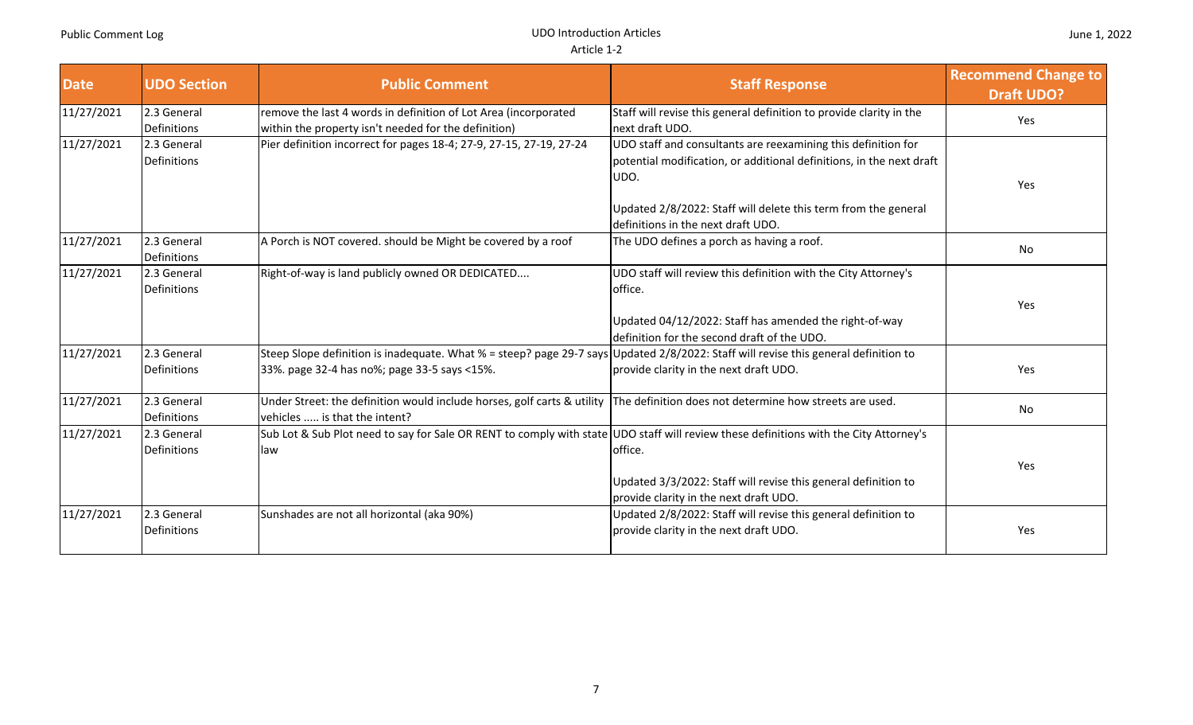| <b>Date</b> | <b>UDO Section</b>                | <b>Public Comment</b>                                                                                                                                                               | <b>Staff Response</b>                                                                                                                         | <b>Recommend Change to</b><br><b>Draft UDO?</b> |
|-------------|-----------------------------------|-------------------------------------------------------------------------------------------------------------------------------------------------------------------------------------|-----------------------------------------------------------------------------------------------------------------------------------------------|-------------------------------------------------|
| 11/27/2021  | 2.3 General<br>Definitions        | remove the last 4 words in definition of Lot Area (incorporated<br>within the property isn't needed for the definition)                                                             | Staff will revise this general definition to provide clarity in the<br>next draft UDO.                                                        | Yes                                             |
| 11/27/2021  | 2.3 General<br>Definitions        | Pier definition incorrect for pages 18-4; 27-9, 27-15, 27-19, 27-24                                                                                                                 | UDO staff and consultants are reexamining this definition for<br>potential modification, or additional definitions, in the next draft<br>UDO. | Yes                                             |
|             |                                   |                                                                                                                                                                                     | Updated 2/8/2022: Staff will delete this term from the general<br>definitions in the next draft UDO.                                          |                                                 |
| 11/27/2021  | 2.3 General<br><b>Definitions</b> | A Porch is NOT covered. should be Might be covered by a roof                                                                                                                        | The UDO defines a porch as having a roof.                                                                                                     | No                                              |
| 11/27/2021  | 2.3 General<br>Definitions        | Right-of-way is land publicly owned OR DEDICATED                                                                                                                                    | UDO staff will review this definition with the City Attorney's<br>office.<br>Updated 04/12/2022: Staff has amended the right-of-way           | Yes                                             |
| 11/27/2021  | 2.3 General<br>Definitions        | Steep Slope definition is inadequate. What % = steep? page 29-7 says Updated 2/8/2022: Staff will revise this general definition to<br>33%. page 32-4 has no%; page 33-5 says <15%. | definition for the second draft of the UDO.<br>provide clarity in the next draft UDO.                                                         | Yes                                             |
| 11/27/2021  | 2.3 General<br>Definitions        | Under Street: the definition would include horses, golf carts & utility<br>vehicles  is that the intent?                                                                            | The definition does not determine how streets are used.                                                                                       | No                                              |
| 11/27/2021  | 2.3 General<br>Definitions        | Sub Lot & Sub Plot need to say for Sale OR RENT to comply with state UDO staff will review these definitions with the City Attorney's<br>llaw                                       | office.<br>Updated 3/3/2022: Staff will revise this general definition to<br>provide clarity in the next draft UDO.                           | Yes                                             |
| 11/27/2021  | 2.3 General<br>Definitions        | Sunshades are not all horizontal (aka 90%)                                                                                                                                          | Updated 2/8/2022: Staff will revise this general definition to<br>provide clarity in the next draft UDO.                                      | Yes                                             |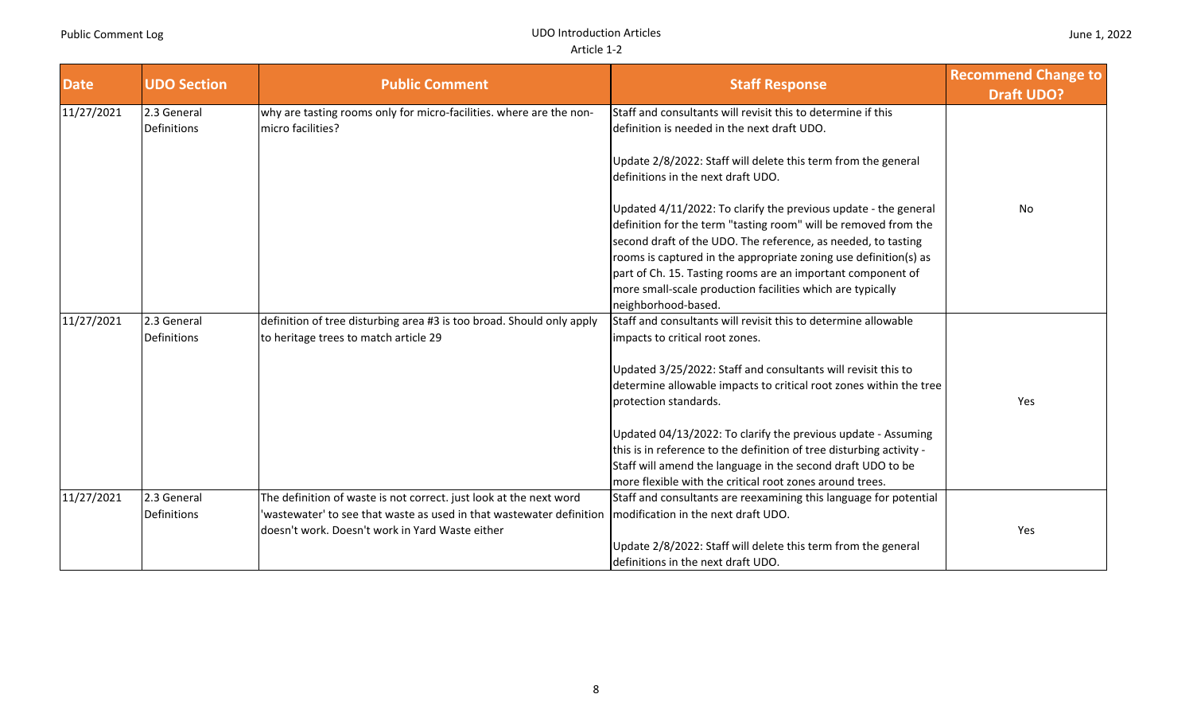| <b>Date</b> | <b>UDO Section</b> | <b>Public Comment</b>                                                 | <b>Staff Response</b>                                                | <b>Recommend Change to</b><br><b>Draft UDO?</b> |
|-------------|--------------------|-----------------------------------------------------------------------|----------------------------------------------------------------------|-------------------------------------------------|
| 11/27/2021  | 2.3 General        | why are tasting rooms only for micro-facilities. where are the non-   | Staff and consultants will revisit this to determine if this         |                                                 |
|             | Definitions        | micro facilities?                                                     | definition is needed in the next draft UDO.                          |                                                 |
|             |                    |                                                                       | Update 2/8/2022: Staff will delete this term from the general        |                                                 |
|             |                    |                                                                       | definitions in the next draft UDO.                                   |                                                 |
|             |                    |                                                                       | Updated 4/11/2022: To clarify the previous update - the general      | No                                              |
|             |                    |                                                                       | definition for the term "tasting room" will be removed from the      |                                                 |
|             |                    |                                                                       | second draft of the UDO. The reference, as needed, to tasting        |                                                 |
|             |                    |                                                                       | rooms is captured in the appropriate zoning use definition(s) as     |                                                 |
|             |                    |                                                                       | part of Ch. 15. Tasting rooms are an important component of          |                                                 |
|             |                    |                                                                       | more small-scale production facilities which are typically           |                                                 |
|             |                    |                                                                       | neighborhood-based.                                                  |                                                 |
| 11/27/2021  | 2.3 General        | definition of tree disturbing area #3 is too broad. Should only apply | Staff and consultants will revisit this to determine allowable       |                                                 |
|             | Definitions        | to heritage trees to match article 29                                 | impacts to critical root zones.                                      |                                                 |
|             |                    |                                                                       | Updated 3/25/2022: Staff and consultants will revisit this to        |                                                 |
|             |                    |                                                                       | determine allowable impacts to critical root zones within the tree   |                                                 |
|             |                    |                                                                       | protection standards.                                                | Yes                                             |
|             |                    |                                                                       | Updated 04/13/2022: To clarify the previous update - Assuming        |                                                 |
|             |                    |                                                                       | this is in reference to the definition of tree disturbing activity - |                                                 |
|             |                    |                                                                       | Staff will amend the language in the second draft UDO to be          |                                                 |
|             |                    |                                                                       | more flexible with the critical root zones around trees.             |                                                 |
| 11/27/2021  | 2.3 General        | The definition of waste is not correct. just look at the next word    | Staff and consultants are reexamining this language for potential    |                                                 |
|             | Definitions        | wastewater' to see that waste as used in that wastewater definition   | modification in the next draft UDO.                                  |                                                 |
|             |                    | doesn't work. Doesn't work in Yard Waste either                       |                                                                      | Yes                                             |
|             |                    |                                                                       | Update 2/8/2022: Staff will delete this term from the general        |                                                 |
|             |                    |                                                                       | definitions in the next draft UDO.                                   |                                                 |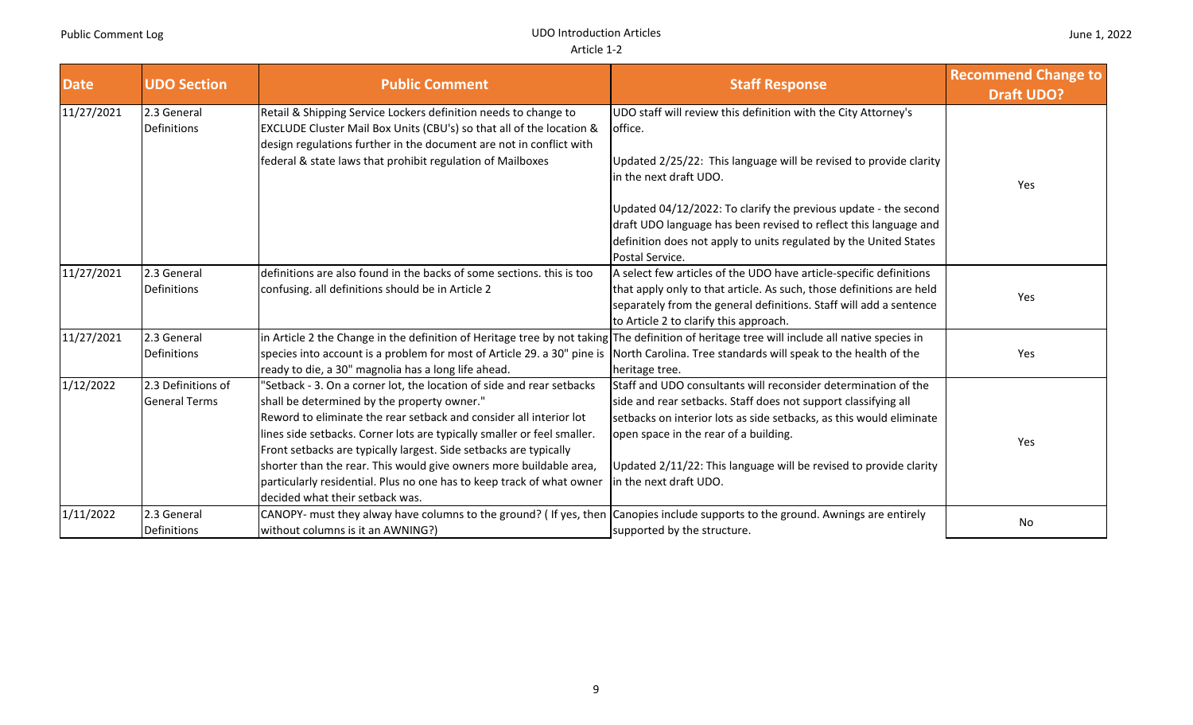| <b>Date</b> | <b>UDO Section</b>                         | <b>Public Comment</b>                                                                                                                                                                                                                                                                                                                                                                                                                                                                                                        | <b>Staff Response</b>                                                                                                                                                                                                                                                                                                                           | <b>Recommend Change to</b><br><b>Draft UDO?</b> |
|-------------|--------------------------------------------|------------------------------------------------------------------------------------------------------------------------------------------------------------------------------------------------------------------------------------------------------------------------------------------------------------------------------------------------------------------------------------------------------------------------------------------------------------------------------------------------------------------------------|-------------------------------------------------------------------------------------------------------------------------------------------------------------------------------------------------------------------------------------------------------------------------------------------------------------------------------------------------|-------------------------------------------------|
| 11/27/2021  | 2.3 General<br><b>Definitions</b>          | Retail & Shipping Service Lockers definition needs to change to<br>EXCLUDE Cluster Mail Box Units (CBU's) so that all of the location &<br>design regulations further in the document are not in conflict with                                                                                                                                                                                                                                                                                                               | UDO staff will review this definition with the City Attorney's<br>loffice.                                                                                                                                                                                                                                                                      |                                                 |
|             |                                            | federal & state laws that prohibit regulation of Mailboxes                                                                                                                                                                                                                                                                                                                                                                                                                                                                   | Updated 2/25/22: This language will be revised to provide clarity<br>in the next draft UDO.                                                                                                                                                                                                                                                     | Yes                                             |
|             |                                            |                                                                                                                                                                                                                                                                                                                                                                                                                                                                                                                              | Updated 04/12/2022: To clarify the previous update - the second<br>draft UDO language has been revised to reflect this language and<br>definition does not apply to units regulated by the United States<br>Postal Service.                                                                                                                     |                                                 |
| 11/27/2021  | 2.3 General<br>Definitions                 | definitions are also found in the backs of some sections. this is too<br>confusing. all definitions should be in Article 2                                                                                                                                                                                                                                                                                                                                                                                                   | A select few articles of the UDO have article-specific definitions<br>that apply only to that article. As such, those definitions are held<br>separately from the general definitions. Staff will add a sentence<br>to Article 2 to clarify this approach.                                                                                      | Yes                                             |
| 11/27/2021  | 2.3 General<br><b>Definitions</b>          | in Article 2 the Change in the definition of Heritage tree by not taking The definition of heritage tree will include all native species in<br>species into account is a problem for most of Article 29. a 30" pine is North Carolina. Tree standards will speak to the health of the<br>ready to die, a 30" magnolia has a long life ahead.                                                                                                                                                                                 | heritage tree.                                                                                                                                                                                                                                                                                                                                  | Yes                                             |
| 1/12/2022   | 2.3 Definitions of<br><b>General Terms</b> | 'Setback - 3. On a corner lot, the location of side and rear setbacks<br>shall be determined by the property owner."<br>Reword to eliminate the rear setback and consider all interior lot<br>lines side setbacks. Corner lots are typically smaller or feel smaller.<br>Front setbacks are typically largest. Side setbacks are typically<br>shorter than the rear. This would give owners more buildable area,<br>particularly residential. Plus no one has to keep track of what owner<br>decided what their setback was. | Staff and UDO consultants will reconsider determination of the<br>side and rear setbacks. Staff does not support classifying all<br>setbacks on interior lots as side setbacks, as this would eliminate<br>open space in the rear of a building.<br>Updated 2/11/22: This language will be revised to provide clarity<br>in the next draft UDO. | Yes                                             |
| 1/11/2022   | 2.3 General<br>Definitions                 | CANOPY- must they alway have columns to the ground? (If yes, then Canopies include supports to the ground. Awnings are entirely<br>without columns is it an AWNING?)                                                                                                                                                                                                                                                                                                                                                         | supported by the structure.                                                                                                                                                                                                                                                                                                                     | No                                              |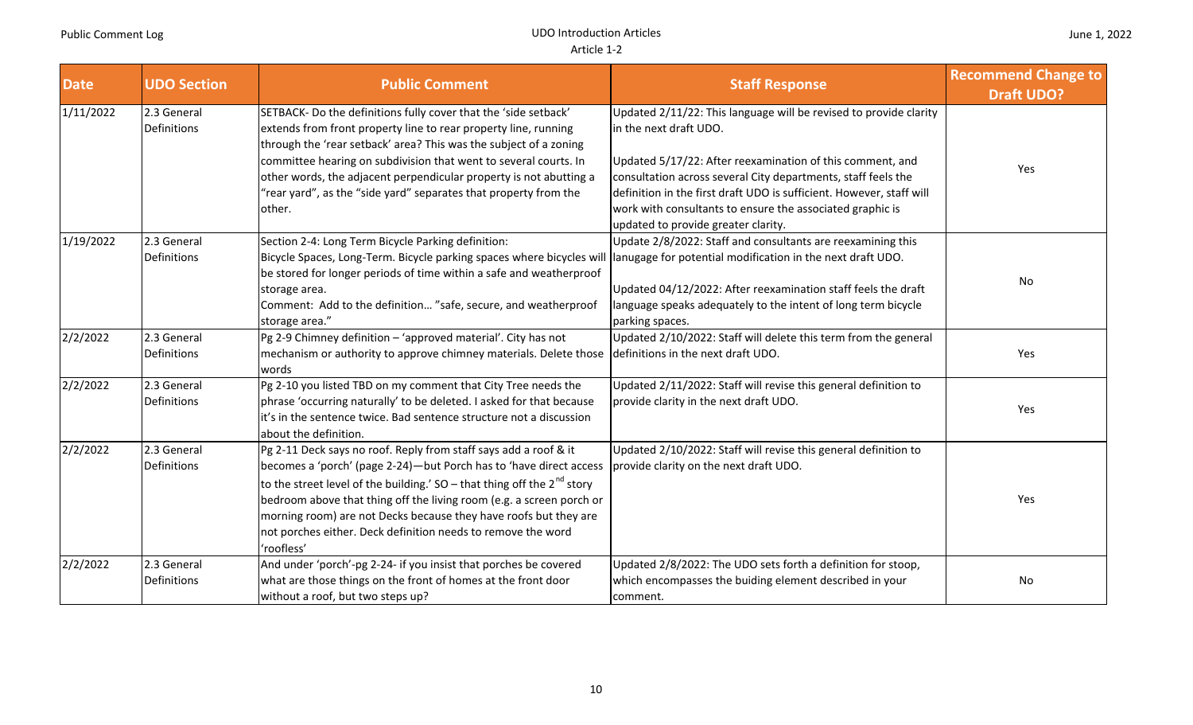| <b>Date</b> | <b>UDO Section</b>                | <b>Public Comment</b>                                                                                                                                                                                                                                                                                                                                                                                                                            | <b>Staff Response</b>                                                                                                                                                                                                                                                                                                                                                                                 | <b>Recommend Change to</b><br><b>Draft UDO?</b> |
|-------------|-----------------------------------|--------------------------------------------------------------------------------------------------------------------------------------------------------------------------------------------------------------------------------------------------------------------------------------------------------------------------------------------------------------------------------------------------------------------------------------------------|-------------------------------------------------------------------------------------------------------------------------------------------------------------------------------------------------------------------------------------------------------------------------------------------------------------------------------------------------------------------------------------------------------|-------------------------------------------------|
| 1/11/2022   | 2.3 General<br><b>Definitions</b> | SETBACK- Do the definitions fully cover that the 'side setback'<br>extends from front property line to rear property line, running<br>through the 'rear setback' area? This was the subject of a zoning<br>committee hearing on subdivision that went to several courts. In<br>other words, the adjacent perpendicular property is not abutting a<br>"rear yard", as the "side yard" separates that property from the<br>other.                  | Updated 2/11/22: This language will be revised to provide clarity<br>in the next draft UDO.<br>Updated 5/17/22: After reexamination of this comment, and<br>consultation across several City departments, staff feels the<br>definition in the first draft UDO is sufficient. However, staff will<br>work with consultants to ensure the associated graphic is<br>updated to provide greater clarity. | Yes                                             |
| 1/19/2022   | 2.3 General<br><b>Definitions</b> | Section 2-4: Long Term Bicycle Parking definition:<br>Bicycle Spaces, Long-Term. Bicycle parking spaces where bicycles will lanugage for potential modification in the next draft UDO.<br>be stored for longer periods of time within a safe and weatherproof<br>storage area.<br>Comment: Add to the definition "safe, secure, and weatherproof<br>storage area."                                                                               | Update 2/8/2022: Staff and consultants are reexamining this<br>Updated 04/12/2022: After reexamination staff feels the draft<br>language speaks adequately to the intent of long term bicycle<br>parking spaces.                                                                                                                                                                                      | <b>No</b>                                       |
| 2/2/2022    | 2.3 General<br>Definitions        | Pg 2-9 Chimney definition - 'approved material'. City has not<br>mechanism or authority to approve chimney materials. Delete those<br>words                                                                                                                                                                                                                                                                                                      | Updated 2/10/2022: Staff will delete this term from the general<br>definitions in the next draft UDO.                                                                                                                                                                                                                                                                                                 | Yes                                             |
| 2/2/2022    | 2.3 General<br>Definitions        | Pg 2-10 you listed TBD on my comment that City Tree needs the<br>phrase 'occurring naturally' to be deleted. I asked for that because<br>it's in the sentence twice. Bad sentence structure not a discussion<br>about the definition.                                                                                                                                                                                                            | Updated 2/11/2022: Staff will revise this general definition to<br>provide clarity in the next draft UDO.                                                                                                                                                                                                                                                                                             | Yes                                             |
| 2/2/2022    | 2.3 General<br>Definitions        | Pg 2-11 Deck says no roof. Reply from staff says add a roof & it<br>becomes a 'porch' (page 2-24)-but Porch has to 'have direct access<br>to the street level of the building.' SO – that thing off the $2^{nd}$ story<br>bedroom above that thing off the living room (e.g. a screen porch or<br>morning room) are not Decks because they have roofs but they are<br>not porches either. Deck definition needs to remove the word<br>'roofless' | Updated 2/10/2022: Staff will revise this general definition to<br>provide clarity on the next draft UDO.                                                                                                                                                                                                                                                                                             | Yes                                             |
| 2/2/2022    | 2.3 General<br>Definitions        | And under 'porch'-pg 2-24- if you insist that porches be covered<br>what are those things on the front of homes at the front door<br>without a roof, but two steps up?                                                                                                                                                                                                                                                                           | Updated 2/8/2022: The UDO sets forth a definition for stoop,<br>which encompasses the buiding element described in your<br>comment.                                                                                                                                                                                                                                                                   | No                                              |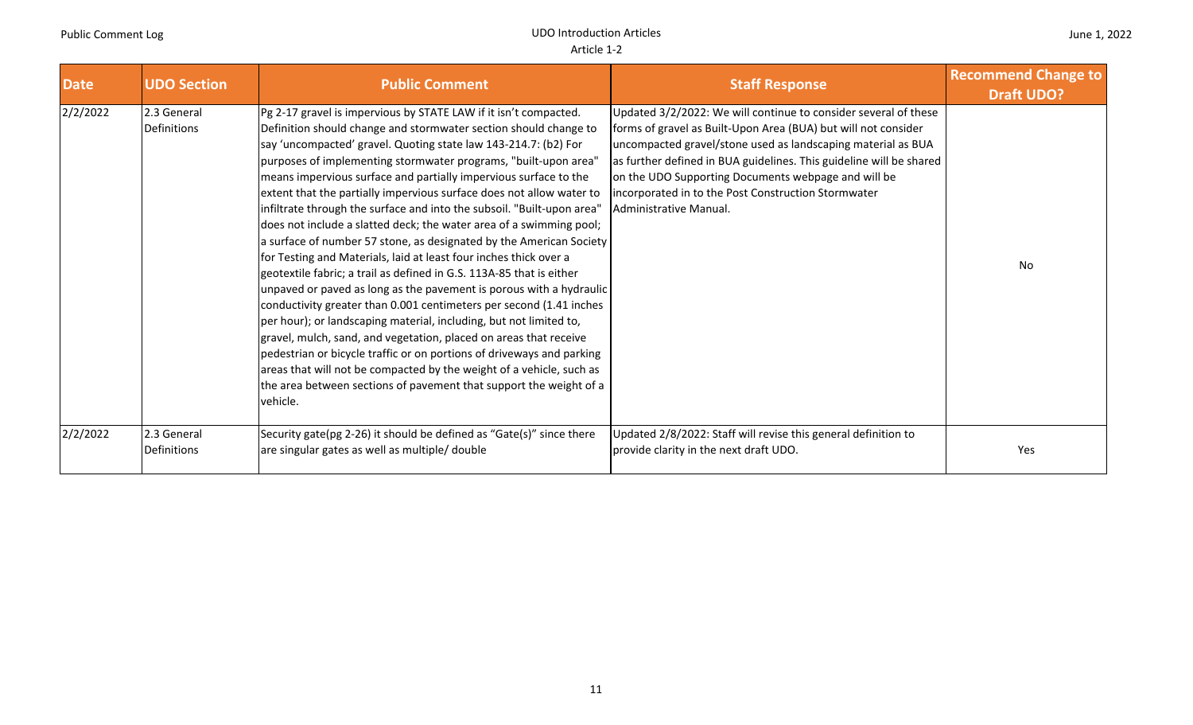| <b>Date</b> | <b>UDO Section</b>                | <b>Public Comment</b>                                                                                                                                                                                                                                                                                                                                                                                                                                                                                                                                                                                                                                                                                                                                                                                                                                                                                                                                                                                                                                                                                                                                                                                                                                                                                                   | <b>Staff Response</b>                                                                                                                                                                                                                                                                                                                                                                                            | <b>Recommend Change to</b><br><b>Draft UDO?</b> |
|-------------|-----------------------------------|-------------------------------------------------------------------------------------------------------------------------------------------------------------------------------------------------------------------------------------------------------------------------------------------------------------------------------------------------------------------------------------------------------------------------------------------------------------------------------------------------------------------------------------------------------------------------------------------------------------------------------------------------------------------------------------------------------------------------------------------------------------------------------------------------------------------------------------------------------------------------------------------------------------------------------------------------------------------------------------------------------------------------------------------------------------------------------------------------------------------------------------------------------------------------------------------------------------------------------------------------------------------------------------------------------------------------|------------------------------------------------------------------------------------------------------------------------------------------------------------------------------------------------------------------------------------------------------------------------------------------------------------------------------------------------------------------------------------------------------------------|-------------------------------------------------|
| 2/2/2022    | 2.3 General<br><b>Definitions</b> | Pg 2-17 gravel is impervious by STATE LAW if it isn't compacted.<br>Definition should change and stormwater section should change to<br>say 'uncompacted' gravel. Quoting state law 143-214.7: (b2) For<br>purposes of implementing stormwater programs, "built-upon area"<br>means impervious surface and partially impervious surface to the<br>extent that the partially impervious surface does not allow water to<br>infiltrate through the surface and into the subsoil. "Built-upon area"<br>does not include a slatted deck; the water area of a swimming pool;<br>a surface of number 57 stone, as designated by the American Society<br>for Testing and Materials, laid at least four inches thick over a<br>geotextile fabric; a trail as defined in G.S. 113A-85 that is either<br>unpaved or paved as long as the pavement is porous with a hydraulic<br>conductivity greater than 0.001 centimeters per second (1.41 inches<br>per hour); or landscaping material, including, but not limited to,<br>gravel, mulch, sand, and vegetation, placed on areas that receive<br>pedestrian or bicycle traffic or on portions of driveways and parking<br>areas that will not be compacted by the weight of a vehicle, such as<br>the area between sections of pavement that support the weight of a<br>vehicle. | Updated 3/2/2022: We will continue to consider several of these<br>forms of gravel as Built-Upon Area (BUA) but will not consider<br>uncompacted gravel/stone used as landscaping material as BUA<br>as further defined in BUA guidelines. This guideline will be shared<br>on the UDO Supporting Documents webpage and will be<br>incorporated in to the Post Construction Stormwater<br>Administrative Manual. | No                                              |
| 2/2/2022    | 2.3 General<br>Definitions        | Security gate(pg 2-26) it should be defined as "Gate(s)" since there<br>are singular gates as well as multiple/ double                                                                                                                                                                                                                                                                                                                                                                                                                                                                                                                                                                                                                                                                                                                                                                                                                                                                                                                                                                                                                                                                                                                                                                                                  | Updated 2/8/2022: Staff will revise this general definition to<br>provide clarity in the next draft UDO.                                                                                                                                                                                                                                                                                                         | Yes                                             |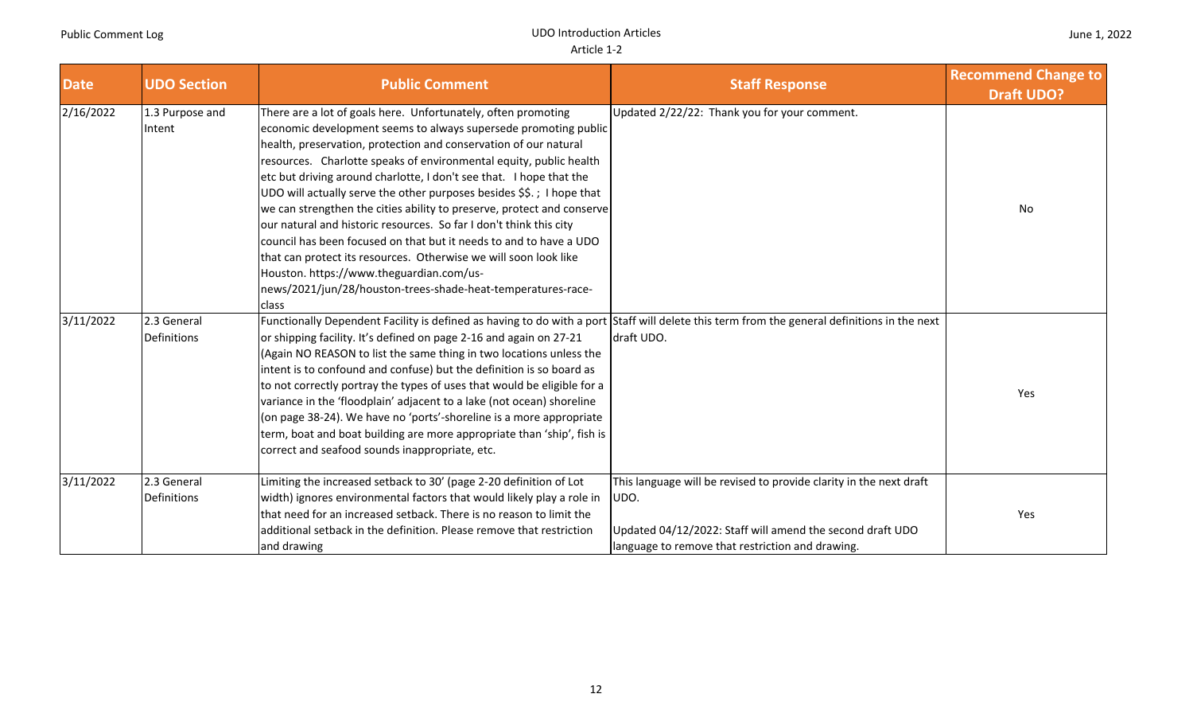| <b>Date</b> | <b>UDO Section</b>         | <b>Public Comment</b>                                                                                                                                                                                                                                                                                                                                                                                                                                                                                                                                                                                                                                                                                                                                                                                                                     | <b>Staff Response</b>                                                                                                                                                                       | <b>Recommend Change to</b><br><b>Draft UDO?</b> |
|-------------|----------------------------|-------------------------------------------------------------------------------------------------------------------------------------------------------------------------------------------------------------------------------------------------------------------------------------------------------------------------------------------------------------------------------------------------------------------------------------------------------------------------------------------------------------------------------------------------------------------------------------------------------------------------------------------------------------------------------------------------------------------------------------------------------------------------------------------------------------------------------------------|---------------------------------------------------------------------------------------------------------------------------------------------------------------------------------------------|-------------------------------------------------|
| 2/16/2022   | 1.3 Purpose and<br>Intent  | There are a lot of goals here. Unfortunately, often promoting<br>economic development seems to always supersede promoting public<br>health, preservation, protection and conservation of our natural<br>resources. Charlotte speaks of environmental equity, public health<br>etc but driving around charlotte, I don't see that. I hope that the<br>UDO will actually serve the other purposes besides \$\$.; I hope that<br>we can strengthen the cities ability to preserve, protect and conserve<br>our natural and historic resources. So far I don't think this city<br>council has been focused on that but it needs to and to have a UDO<br>that can protect its resources. Otherwise we will soon look like<br>Houston. https://www.theguardian.com/us-<br>news/2021/jun/28/houston-trees-shade-heat-temperatures-race-<br>class | Updated 2/22/22: Thank you for your comment.                                                                                                                                                | No                                              |
| 3/11/2022   | 2.3 General<br>Definitions | Functionally Dependent Facility is defined as having to do with a port<br>or shipping facility. It's defined on page 2-16 and again on 27-21<br>(Again NO REASON to list the same thing in two locations unless the<br>intent is to confound and confuse) but the definition is so board as<br>to not correctly portray the types of uses that would be eligible for a<br>variance in the 'floodplain' adjacent to a lake (not ocean) shoreline<br>(on page 38-24). We have no 'ports'-shoreline is a more appropriate<br>term, boat and boat building are more appropriate than 'ship', fish is<br>correct and seafood sounds inappropriate, etc.                                                                                                                                                                                        | Staff will delete this term from the general definitions in the next<br>draft UDO.                                                                                                          | Yes                                             |
| 3/11/2022   | 2.3 General<br>Definitions | Limiting the increased setback to 30' (page 2-20 definition of Lot<br>width) ignores environmental factors that would likely play a role in<br>that need for an increased setback. There is no reason to limit the<br>additional setback in the definition. Please remove that restriction<br>and drawing                                                                                                                                                                                                                                                                                                                                                                                                                                                                                                                                 | This language will be revised to provide clarity in the next draft<br>UDO.<br>Updated 04/12/2022: Staff will amend the second draft UDO<br>language to remove that restriction and drawing. | Yes                                             |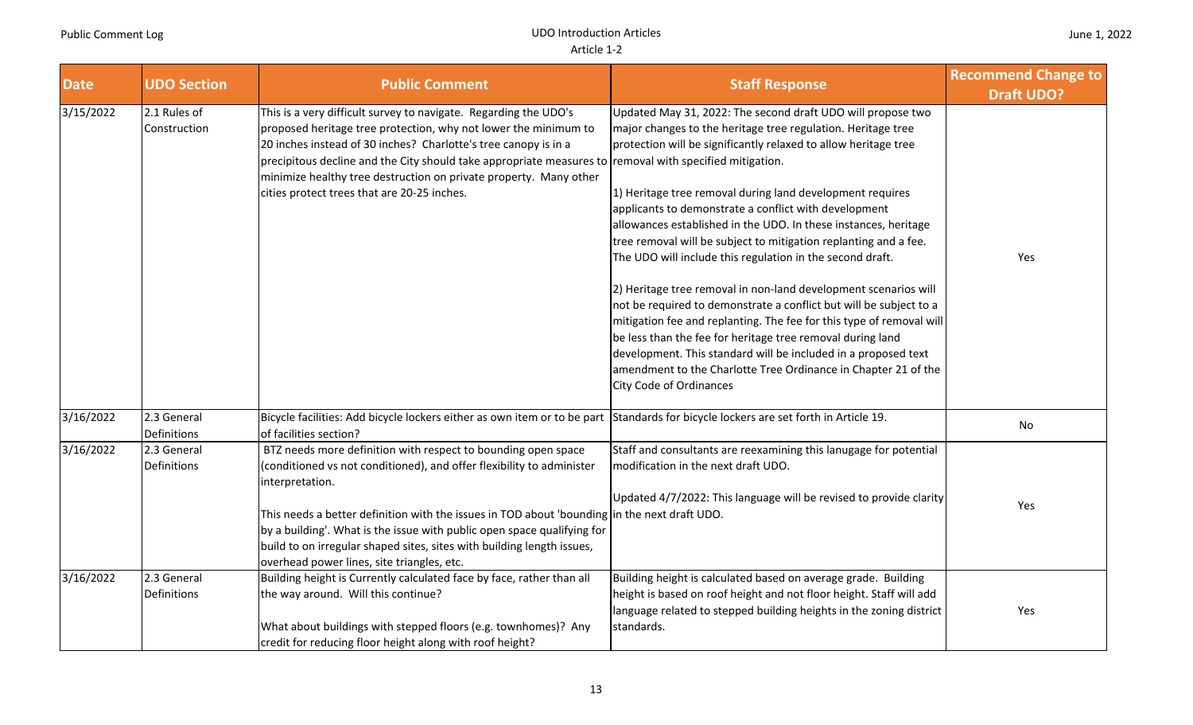| <b>Date</b> | <b>UDO Section</b>           | <b>Public Comment</b>                                                                                                                                                                                                                                                                                                                                                                                                                                        | <b>Staff Response</b>                                                                                                                                                                                                                                                                                                                                                                                                                                                                                                                                                                                                                                                                                                                                                                                                                                                                                                                                                         | <b>Recommend Change to</b><br><b>Draft UDO?</b> |
|-------------|------------------------------|--------------------------------------------------------------------------------------------------------------------------------------------------------------------------------------------------------------------------------------------------------------------------------------------------------------------------------------------------------------------------------------------------------------------------------------------------------------|-------------------------------------------------------------------------------------------------------------------------------------------------------------------------------------------------------------------------------------------------------------------------------------------------------------------------------------------------------------------------------------------------------------------------------------------------------------------------------------------------------------------------------------------------------------------------------------------------------------------------------------------------------------------------------------------------------------------------------------------------------------------------------------------------------------------------------------------------------------------------------------------------------------------------------------------------------------------------------|-------------------------------------------------|
| 3/15/2022   | 2.1 Rules of<br>Construction | This is a very difficult survey to navigate. Regarding the UDO's<br>proposed heritage tree protection, why not lower the minimum to<br>20 inches instead of 30 inches? Charlotte's tree canopy is in a<br>precipitous decline and the City should take appropriate measures to removal with specified mitigation.<br>minimize healthy tree destruction on private property. Many other<br>cities protect trees that are 20-25 inches.                        | Updated May 31, 2022: The second draft UDO will propose two<br>major changes to the heritage tree regulation. Heritage tree<br>protection will be significantly relaxed to allow heritage tree<br>1) Heritage tree removal during land development requires<br>applicants to demonstrate a conflict with development<br>allowances established in the UDO. In these instances, heritage<br>tree removal will be subject to mitigation replanting and a fee.<br>The UDO will include this regulation in the second draft.<br>2) Heritage tree removal in non-land development scenarios will<br>not be required to demonstrate a conflict but will be subject to a<br>mitigation fee and replanting. The fee for this type of removal will<br>be less than the fee for heritage tree removal during land<br>development. This standard will be included in a proposed text<br>amendment to the Charlotte Tree Ordinance in Chapter 21 of the<br><b>City Code of Ordinances</b> | Yes                                             |
| 3/16/2022   | 2.3 General<br>Definitions   | Bicycle facilities: Add bicycle lockers either as own item or to be part Standards for bicycle lockers are set forth in Article 19.<br>of facilities section?                                                                                                                                                                                                                                                                                                |                                                                                                                                                                                                                                                                                                                                                                                                                                                                                                                                                                                                                                                                                                                                                                                                                                                                                                                                                                               | No                                              |
| 3/16/2022   | 2.3 General<br>Definitions   | BTZ needs more definition with respect to bounding open space<br>(conditioned vs not conditioned), and offer flexibility to administer<br>interpretation.<br>This needs a better definition with the issues in TOD about 'bounding in the next draft UDO.<br>by a building'. What is the issue with public open space qualifying for<br>build to on irregular shaped sites, sites with building length issues,<br>overhead power lines, site triangles, etc. | Staff and consultants are reexamining this lanugage for potential<br>modification in the next draft UDO.<br>Updated 4/7/2022: This language will be revised to provide clarity                                                                                                                                                                                                                                                                                                                                                                                                                                                                                                                                                                                                                                                                                                                                                                                                | Yes                                             |
| 3/16/2022   | 2.3 General<br>Definitions   | Building height is Currently calculated face by face, rather than all<br>the way around. Will this continue?<br>What about buildings with stepped floors (e.g. townhomes)? Any<br>credit for reducing floor height along with roof height?                                                                                                                                                                                                                   | Building height is calculated based on average grade. Building<br>height is based on roof height and not floor height. Staff will add<br>language related to stepped building heights in the zoning district<br>standards.                                                                                                                                                                                                                                                                                                                                                                                                                                                                                                                                                                                                                                                                                                                                                    | Yes                                             |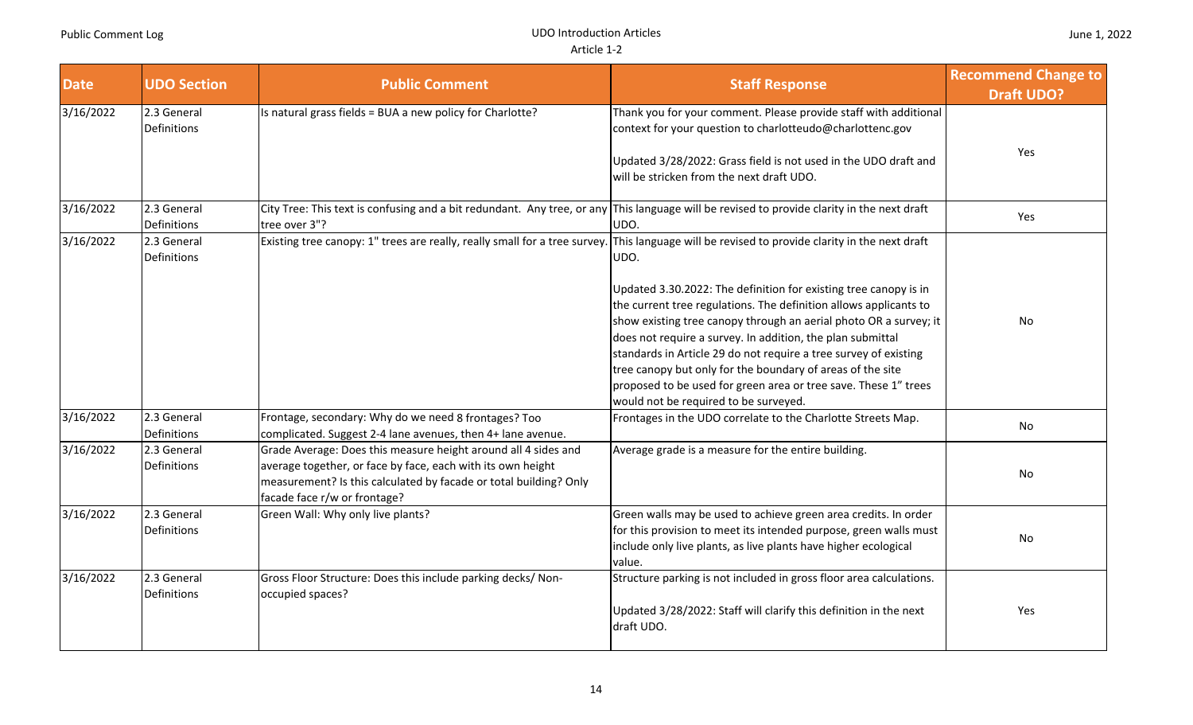| <b>Date</b> | <b>UDO Section</b>                | <b>Public Comment</b>                                                                                                                                                                                                              | <b>Staff Response</b>                                                                                                                                                                                                                                                                                                                                                                                                                                                                                                                                                                                | <b>Recommend Change to</b><br><b>Draft UDO?</b> |
|-------------|-----------------------------------|------------------------------------------------------------------------------------------------------------------------------------------------------------------------------------------------------------------------------------|------------------------------------------------------------------------------------------------------------------------------------------------------------------------------------------------------------------------------------------------------------------------------------------------------------------------------------------------------------------------------------------------------------------------------------------------------------------------------------------------------------------------------------------------------------------------------------------------------|-------------------------------------------------|
| 3/16/2022   | 2.3 General<br><b>Definitions</b> | Is natural grass fields = BUA a new policy for Charlotte?                                                                                                                                                                          | Thank you for your comment. Please provide staff with additional<br>context for your question to charlotteudo@charlottenc.gov<br>Updated 3/28/2022: Grass field is not used in the UDO draft and<br>will be stricken from the next draft UDO.                                                                                                                                                                                                                                                                                                                                                        | Yes                                             |
| 3/16/2022   | 2.3 General<br>Definitions        | City Tree: This text is confusing and a bit redundant. Any tree, or any This language will be revised to provide clarity in the next draft<br>tree over 3"?                                                                        | UDO.                                                                                                                                                                                                                                                                                                                                                                                                                                                                                                                                                                                                 | Yes                                             |
| 3/16/2022   | 2.3 General<br>Definitions        | Existing tree canopy: 1" trees are really, really small for a tree survey.                                                                                                                                                         | This language will be revised to provide clarity in the next draft<br>UDO.<br>Updated 3.30.2022: The definition for existing tree canopy is in<br>the current tree regulations. The definition allows applicants to<br>show existing tree canopy through an aerial photo OR a survey; it<br>does not require a survey. In addition, the plan submittal<br>standards in Article 29 do not require a tree survey of existing<br>tree canopy but only for the boundary of areas of the site<br>proposed to be used for green area or tree save. These 1" trees<br>would not be required to be surveyed. | <b>No</b>                                       |
| 3/16/2022   | 2.3 General<br><b>Definitions</b> | Frontage, secondary: Why do we need 8 frontages? Too<br>complicated. Suggest 2-4 lane avenues, then 4+ lane avenue.                                                                                                                | Frontages in the UDO correlate to the Charlotte Streets Map.                                                                                                                                                                                                                                                                                                                                                                                                                                                                                                                                         | No                                              |
| 3/16/2022   | 2.3 General<br>Definitions        | Grade Average: Does this measure height around all 4 sides and<br>average together, or face by face, each with its own height<br>measurement? Is this calculated by facade or total building? Only<br>facade face r/w or frontage? | Average grade is a measure for the entire building.                                                                                                                                                                                                                                                                                                                                                                                                                                                                                                                                                  | No                                              |
| 3/16/2022   | 2.3 General<br>Definitions        | Green Wall: Why only live plants?                                                                                                                                                                                                  | Green walls may be used to achieve green area credits. In order<br>for this provision to meet its intended purpose, green walls must<br>include only live plants, as live plants have higher ecological<br>value.                                                                                                                                                                                                                                                                                                                                                                                    | No                                              |
| 3/16/2022   | 2.3 General<br>Definitions        | Gross Floor Structure: Does this include parking decks/ Non-<br>occupied spaces?                                                                                                                                                   | Structure parking is not included in gross floor area calculations.<br>Updated 3/28/2022: Staff will clarify this definition in the next<br>draft UDO.                                                                                                                                                                                                                                                                                                                                                                                                                                               | Yes                                             |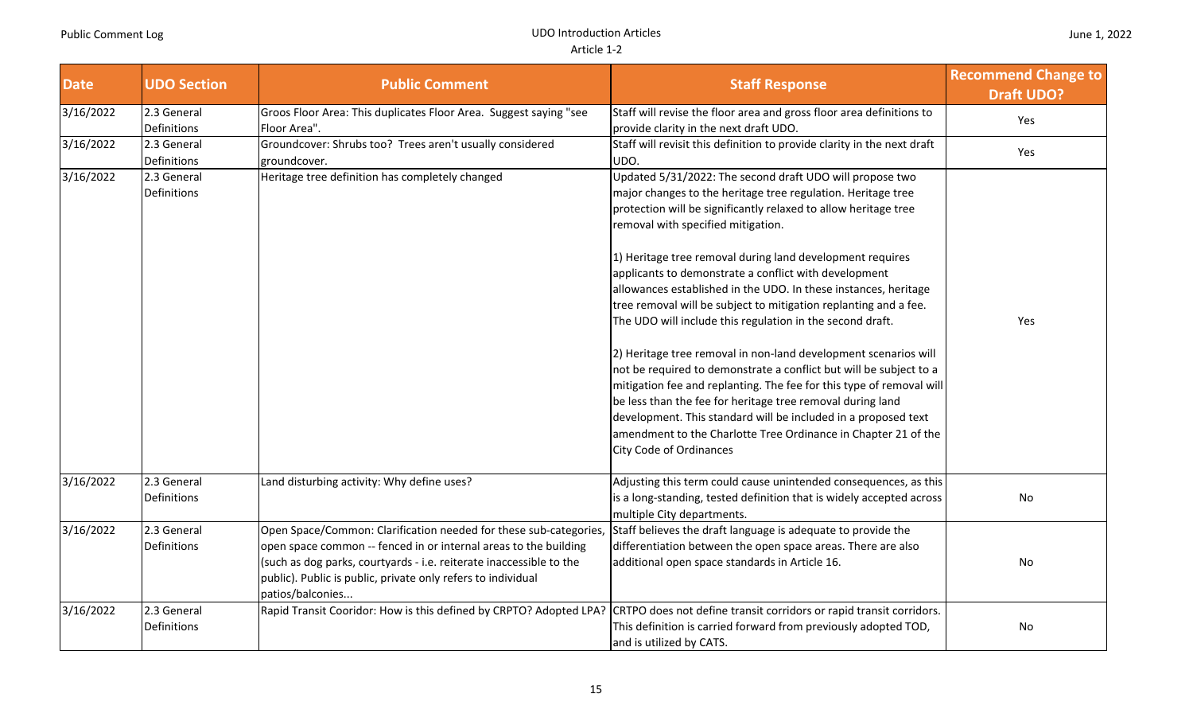T

| <b>Date</b> | <b>UDO Section</b>         | <b>Public Comment</b>                                                                                                                                                                                                                                                                            | <b>Staff Response</b>                                                                                                                                                                                                                                                                                                                                                                                                                                                                                                                                                                                                                                                                                                                                                                                                                                                                                                                                                                                            | <b>Recommend Change to</b><br><b>Draft UDO?</b> |
|-------------|----------------------------|--------------------------------------------------------------------------------------------------------------------------------------------------------------------------------------------------------------------------------------------------------------------------------------------------|------------------------------------------------------------------------------------------------------------------------------------------------------------------------------------------------------------------------------------------------------------------------------------------------------------------------------------------------------------------------------------------------------------------------------------------------------------------------------------------------------------------------------------------------------------------------------------------------------------------------------------------------------------------------------------------------------------------------------------------------------------------------------------------------------------------------------------------------------------------------------------------------------------------------------------------------------------------------------------------------------------------|-------------------------------------------------|
| 3/16/2022   | 2.3 General<br>Definitions | Groos Floor Area: This duplicates Floor Area. Suggest saying "see<br>Floor Area".                                                                                                                                                                                                                | Staff will revise the floor area and gross floor area definitions to<br>provide clarity in the next draft UDO.                                                                                                                                                                                                                                                                                                                                                                                                                                                                                                                                                                                                                                                                                                                                                                                                                                                                                                   | Yes                                             |
| 3/16/2022   | 2.3 General<br>Definitions | Groundcover: Shrubs too? Trees aren't usually considered<br>groundcover.                                                                                                                                                                                                                         | Staff will revisit this definition to provide clarity in the next draft<br>UDO.                                                                                                                                                                                                                                                                                                                                                                                                                                                                                                                                                                                                                                                                                                                                                                                                                                                                                                                                  | Yes                                             |
| 3/16/2022   | 2.3 General<br>Definitions | Heritage tree definition has completely changed                                                                                                                                                                                                                                                  | Updated 5/31/2022: The second draft UDO will propose two<br>major changes to the heritage tree regulation. Heritage tree<br>protection will be significantly relaxed to allow heritage tree<br>removal with specified mitigation.<br>1) Heritage tree removal during land development requires<br>applicants to demonstrate a conflict with development<br>allowances established in the UDO. In these instances, heritage<br>tree removal will be subject to mitigation replanting and a fee.<br>The UDO will include this regulation in the second draft.<br>2) Heritage tree removal in non-land development scenarios will<br>not be required to demonstrate a conflict but will be subject to a<br>mitigation fee and replanting. The fee for this type of removal will<br>be less than the fee for heritage tree removal during land<br>development. This standard will be included in a proposed text<br>amendment to the Charlotte Tree Ordinance in Chapter 21 of the<br><b>City Code of Ordinances</b> | Yes                                             |
| 3/16/2022   | 2.3 General<br>Definitions | Land disturbing activity: Why define uses?                                                                                                                                                                                                                                                       | Adjusting this term could cause unintended consequences, as this<br>is a long-standing, tested definition that is widely accepted across<br>multiple City departments.                                                                                                                                                                                                                                                                                                                                                                                                                                                                                                                                                                                                                                                                                                                                                                                                                                           | No                                              |
| 3/16/2022   | 2.3 General<br>Definitions | Open Space/Common: Clarification needed for these sub-categories,<br>open space common -- fenced in or internal areas to the building<br>(such as dog parks, courtyards - i.e. reiterate inaccessible to the<br>public). Public is public, private only refers to individual<br>patios/balconies | Staff believes the draft language is adequate to provide the<br>differentiation between the open space areas. There are also<br>additional open space standards in Article 16.                                                                                                                                                                                                                                                                                                                                                                                                                                                                                                                                                                                                                                                                                                                                                                                                                                   | No                                              |
| 3/16/2022   | 2.3 General<br>Definitions | Rapid Transit Cooridor: How is this defined by CRPTO? Adopted LPA?                                                                                                                                                                                                                               | CRTPO does not define transit corridors or rapid transit corridors.<br>This definition is carried forward from previously adopted TOD,<br>and is utilized by CATS.                                                                                                                                                                                                                                                                                                                                                                                                                                                                                                                                                                                                                                                                                                                                                                                                                                               | No                                              |